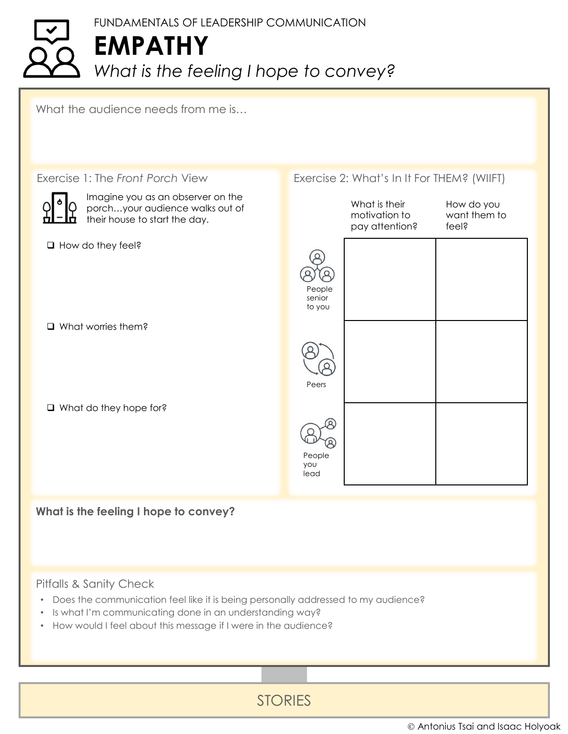## FUNDAMENTALS OF LEADERSHIP COMMUNICATION **EMPATHY** *What is the feeling I hope to convey?*

What the audience needs from me is...



## Pitfalls & Sanity Check

- Does the communication feel like it is being personally addressed to my audience?
- Is what I'm communicating done in an understanding way?
- How would I feel about this message if I were in the audience?

STORIES